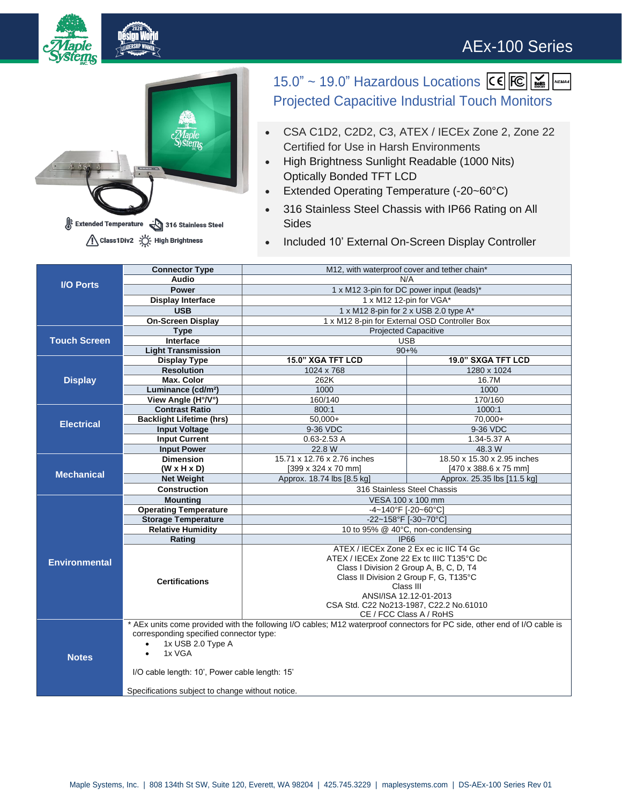## AEx-100 Series





15.0" ~ 19.0" Hazardous Locations CE FC Minis Projected Capacitive Industrial Touch Monitors

- CSA C1D2, C2D2, C3, ATEX / IECEx Zone 2, Zone 22 Certified for Use in Harsh Environments
- High Brightness Sunlight Readable (1000 Nits) Optically Bonded TFT LCD
- Extended Operating Temperature (-20~60°C)
- 316 Stainless Steel Chassis with IP66 Rating on All **Sides**
- Included 10' External On-Screen Display Controller

| <b>I/O Ports</b>     | <b>Connector Type</b>                                                                                                     | M12, with waterproof cover and tether chain*                                      |                             |  |
|----------------------|---------------------------------------------------------------------------------------------------------------------------|-----------------------------------------------------------------------------------|-----------------------------|--|
|                      | Audio                                                                                                                     | N/A                                                                               |                             |  |
|                      | <b>Power</b>                                                                                                              | 1 x M12 3-pin for DC power input (leads)*                                         |                             |  |
|                      | <b>Display Interface</b>                                                                                                  | 1 x M12 12-pin for VGA*                                                           |                             |  |
|                      | <b>USB</b>                                                                                                                | 1 x M12 8-pin for 2 x USB 2.0 type A*                                             |                             |  |
|                      | <b>On-Screen Display</b>                                                                                                  | 1 x M12 8-pin for External OSD Controller Box                                     |                             |  |
| <b>Touch Screen</b>  | <b>Type</b>                                                                                                               | <b>Projected Capacitive</b>                                                       |                             |  |
|                      | Interface                                                                                                                 | <b>USB</b>                                                                        |                             |  |
|                      | <b>Light Transmission</b>                                                                                                 | $90+%$                                                                            |                             |  |
| <b>Display</b>       | <b>Display Type</b>                                                                                                       | 15.0" XGA TFT LCD                                                                 | 19.0" SXGA TFT LCD          |  |
|                      | <b>Resolution</b>                                                                                                         | 1024 x 768                                                                        | 1280 x 1024                 |  |
|                      | <b>Max. Color</b>                                                                                                         | 262K                                                                              | 16.7M                       |  |
|                      | Luminance (cd/m <sup>2</sup> )                                                                                            | 1000                                                                              | 1000                        |  |
|                      | View Angle (H°/V°)                                                                                                        | 160/140                                                                           | 170/160                     |  |
| <b>Electrical</b>    | <b>Contrast Ratio</b>                                                                                                     | 800:1                                                                             | 1000:1                      |  |
|                      | <b>Backlight Lifetime (hrs)</b>                                                                                           | $50.000+$                                                                         | $70.000+$                   |  |
|                      | <b>Input Voltage</b>                                                                                                      | 9-36 VDC                                                                          | 9-36 VDC                    |  |
|                      | <b>Input Current</b>                                                                                                      | $0.63 - 2.53A$                                                                    | 1.34-5.37 A                 |  |
|                      | <b>Input Power</b>                                                                                                        | 22.8 W                                                                            | 48.3 W                      |  |
| <b>Mechanical</b>    | <b>Dimension</b>                                                                                                          | 15.71 x 12.76 x 2.76 inches                                                       | 18.50 x 15.30 x 2.95 inches |  |
|                      | $(W \times H \times D)$                                                                                                   | [399 x 324 x 70 mm]                                                               | [470 x 388.6 x 75 mm]       |  |
|                      | <b>Net Weight</b>                                                                                                         | Approx. 18.74 lbs [8.5 kg]                                                        | Approx. 25.35 lbs [11.5 kg] |  |
|                      | <b>Construction</b>                                                                                                       | 316 Stainless Steel Chassis                                                       |                             |  |
| <b>Environmental</b> | <b>Mounting</b>                                                                                                           | VESA 100 x 100 mm                                                                 |                             |  |
|                      | <b>Operating Temperature</b>                                                                                              | -4~140°F [-20~60°C]                                                               |                             |  |
|                      | <b>Storage Temperature</b>                                                                                                | -22~158°F [-30~70°C]                                                              |                             |  |
|                      | <b>Relative Humidity</b>                                                                                                  | 10 to 95% @ 40°C, non-condensing                                                  |                             |  |
|                      | Rating                                                                                                                    | <b>IP66</b>                                                                       |                             |  |
|                      | <b>Certifications</b>                                                                                                     | ATEX / IECEx Zone 2 Ex ec ic IIC T4 Gc                                            |                             |  |
|                      |                                                                                                                           | ATEX / IECEx Zone 22 Ex tc IIIC T135°C Dc                                         |                             |  |
|                      |                                                                                                                           | Class I Division 2 Group A, B, C, D, T4<br>Class II Division 2 Group F, G, T135°C |                             |  |
|                      |                                                                                                                           | Class III                                                                         |                             |  |
|                      |                                                                                                                           | ANSI/ISA 12.12-01-2013                                                            |                             |  |
|                      |                                                                                                                           | CSA Std. C22 No213-1987, C22.2 No.61010                                           |                             |  |
|                      |                                                                                                                           | CE / FCC Class A / RoHS                                                           |                             |  |
| <b>Notes</b>         | * AEx units come provided with the following I/O cables; M12 waterproof connectors for PC side, other end of I/O cable is |                                                                                   |                             |  |
|                      | corresponding specified connector type:                                                                                   |                                                                                   |                             |  |
|                      | 1x USB 2.0 Type A<br>$\bullet$                                                                                            |                                                                                   |                             |  |
|                      | 1x VGA<br>$\bullet$                                                                                                       |                                                                                   |                             |  |
|                      |                                                                                                                           |                                                                                   |                             |  |
|                      | I/O cable length: 10', Power cable length: 15'                                                                            |                                                                                   |                             |  |
|                      |                                                                                                                           |                                                                                   |                             |  |
|                      | Specifications subject to change without notice.                                                                          |                                                                                   |                             |  |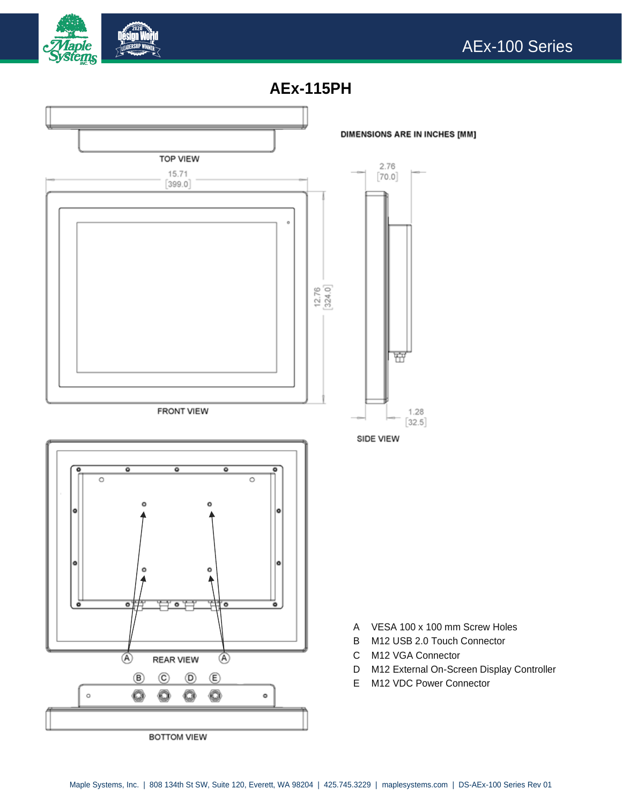





BOTTOM VIEW

- 
- 
-